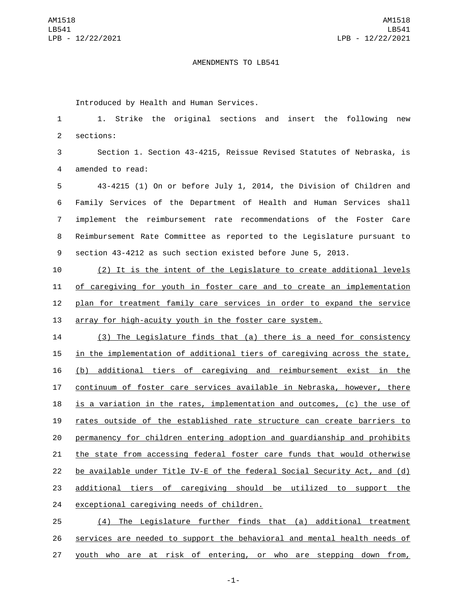## AMENDMENTS TO LB541

Introduced by Health and Human Services.

 1. Strike the original sections and insert the following new 2 sections:

 Section 1. Section 43-4215, Reissue Revised Statutes of Nebraska, is 4 amended to read:

 43-4215 (1) On or before July 1, 2014, the Division of Children and Family Services of the Department of Health and Human Services shall implement the reimbursement rate recommendations of the Foster Care Reimbursement Rate Committee as reported to the Legislature pursuant to section 43-4212 as such section existed before June 5, 2013.

 (2) It is the intent of the Legislature to create additional levels of caregiving for youth in foster care and to create an implementation plan for treatment family care services in order to expand the service array for high-acuity youth in the foster care system.

 (3) The Legislature finds that (a) there is a need for consistency 15 in the implementation of additional tiers of caregiving across the state, (b) additional tiers of caregiving and reimbursement exist in the continuum of foster care services available in Nebraska, however, there is a variation in the rates, implementation and outcomes, (c) the use of rates outside of the established rate structure can create barriers to permanency for children entering adoption and guardianship and prohibits the state from accessing federal foster care funds that would otherwise be available under Title IV-E of the federal Social Security Act, and (d) additional tiers of caregiving should be utilized to support the 24 exceptional caregiving needs of children.

 (4) The Legislature further finds that (a) additional treatment services are needed to support the behavioral and mental health needs of youth who are at risk of entering, or who are stepping down from,

-1-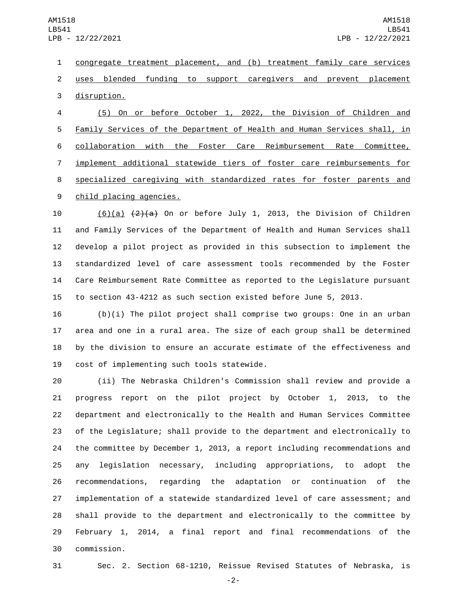congregate treatment placement, and (b) treatment family care services uses blended funding to support caregivers and prevent placement 3 disruption.

 (5) On or before October 1, 2022, the Division of Children and Family Services of the Department of Health and Human Services shall, in collaboration with the Foster Care Reimbursement Rate Committee, implement additional statewide tiers of foster care reimbursements for specialized caregiving with standardized rates for foster parents and 9 child placing agencies.

 $(6)(a)$   $(2)(a)$  On or before July 1, 2013, the Division of Children and Family Services of the Department of Health and Human Services shall develop a pilot project as provided in this subsection to implement the standardized level of care assessment tools recommended by the Foster Care Reimbursement Rate Committee as reported to the Legislature pursuant to section 43-4212 as such section existed before June 5, 2013.

 (b)(i) The pilot project shall comprise two groups: One in an urban area and one in a rural area. The size of each group shall be determined by the division to ensure an accurate estimate of the effectiveness and 19 cost of implementing such tools statewide.

 (ii) The Nebraska Children's Commission shall review and provide a progress report on the pilot project by October 1, 2013, to the department and electronically to the Health and Human Services Committee of the Legislature; shall provide to the department and electronically to the committee by December 1, 2013, a report including recommendations and any legislation necessary, including appropriations, to adopt the recommendations, regarding the adaptation or continuation of the implementation of a statewide standardized level of care assessment; and shall provide to the department and electronically to the committee by February 1, 2014, a final report and final recommendations of the commission.30

Sec. 2. Section 68-1210, Reissue Revised Statutes of Nebraska, is

-2-